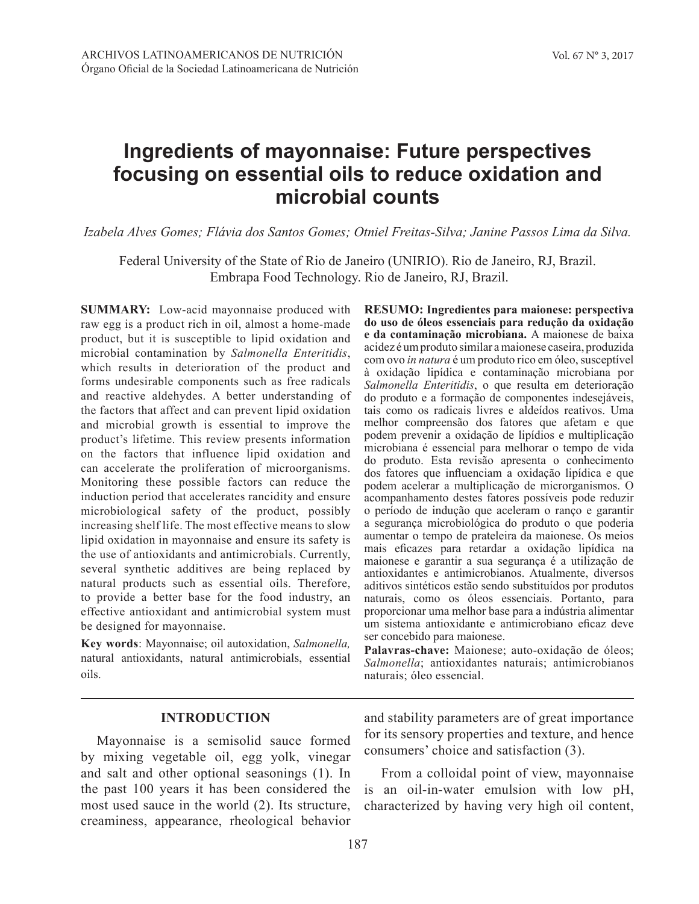# **Ingredients of mayonnaise: Future perspectives focusing on essential oils to reduce oxidation and microbial counts**

*Izabela Alves Gomes; Flávia dos Santos Gomes; Otniel Freitas-Silva; Janine Passos Lima da Silva.*

Federal University of the State of Rio de Janeiro (UNIRIO). Rio de Janeiro, RJ, Brazil. Embrapa Food Technology. Rio de Janeiro, RJ, Brazil.

**SUMMARY:** Low-acid mayonnaise produced with raw egg is a product rich in oil, almost a home-made product, but it is susceptible to lipid oxidation and microbial contamination by *Salmonella Enteritidis*, which results in deterioration of the product and forms undesirable components such as free radicals and reactive aldehydes. A better understanding of the factors that affect and can prevent lipid oxidation and microbial growth is essential to improve the product's lifetime. This review presents information on the factors that influence lipid oxidation and can accelerate the proliferation of microorganisms. Monitoring these possible factors can reduce the induction period that accelerates rancidity and ensure microbiological safety of the product, possibly increasing shelf life. The most effective means to slow lipid oxidation in mayonnaise and ensure its safety is the use of antioxidants and antimicrobials. Currently, several synthetic additives are being replaced by natural products such as essential oils. Therefore, to provide a better base for the food industry, an effective antioxidant and antimicrobial system must be designed for mayonnaise.

**Key words**: Mayonnaise; oil autoxidation, *Salmonella,* natural antioxidants, natural antimicrobials, essential oils.

**RESUMO: Ingredientes para maionese: perspectiva do uso de óleos essenciais para redução da oxidação e da contaminação microbiana.** A maionese de baixa acidez é um produto similar a maionese caseira, produzida com ovo *in natura* é um produto rico em óleo, susceptível à oxidação lipídica e contaminação microbiana por *Salmonella Enteritidis*, o que resulta em deterioração do produto e a formação de componentes indesejáveis, tais como os radicais livres e aldeídos reativos. Uma melhor compreensão dos fatores que afetam e que podem prevenir a oxidação de lipídios e multiplicação microbiana é essencial para melhorar o tempo de vida do produto. Esta revisão apresenta o conhecimento dos fatores que influenciam a oxidação lipídica e que podem acelerar a multiplicação de microrganismos. O acompanhamento destes fatores possíveis pode reduzir o período de indução que aceleram o ranço e garantir a segurança microbiológica do produto o que poderia aumentar o tempo de prateleira da maionese. Os meios mais eficazes para retardar a oxidação lipídica na maionese e garantir a sua segurança é a utilização de antioxidantes e antimicrobianos. Atualmente, diversos aditivos sintéticos estão sendo substituídos por produtos naturais, como os óleos essenciais. Portanto, para proporcionar uma melhor base para a indústria alimentar um sistema antioxidante e antimicrobiano eficaz deve ser concebido para maionese.

**Palavras-chave:** Maionese; auto-oxidação de óleos; *Salmonella*; antioxidantes naturais; antimicrobianos naturais; óleo essencial.

## **INTRODUCTION**

Mayonnaise is a semisolid sauce formed by mixing vegetable oil, egg yolk, vinegar and salt and other optional seasonings (1). In the past 100 years it has been considered the most used sauce in the world (2). Its structure, creaminess, appearance, rheological behavior and stability parameters are of great importance for its sensory properties and texture, and hence consumers' choice and satisfaction (3).

From a colloidal point of view, mayonnaise is an oil-in-water emulsion with low pH, characterized by having very high oil content,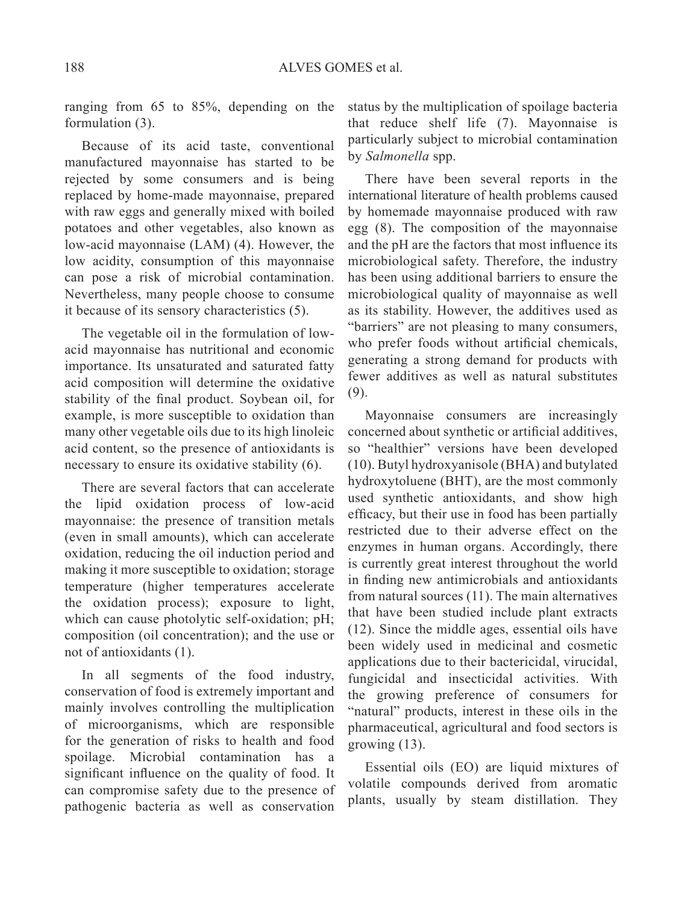ranging from 65 to 85%, depending on the formulation (3).

Because of its acid taste, conventional manufactured mayonnaise has started to be rejected by some consumers and is being replaced by home-made mayonnaise, prepared with raw eggs and generally mixed with boiled potatoes and other vegetables, also known as low-acid mayonnaise (LAM) (4). However, the low acidity, consumption of this mayonnaise can pose a risk of microbial contamination. Nevertheless, many people choose to consume it because of its sensory characteristics (5).

The vegetable oil in the formulation of lowacid mayonnaise has nutritional and economic importance. Its unsaturated and saturated fatty acid composition will determine the oxidative stability of the final product. Soybean oil, for example, is more susceptible to oxidation than many other vegetable oils due to its high linoleic acid content, so the presence of antioxidants is necessary to ensure its oxidative stability (6).

There are several factors that can accelerate the lipid oxidation process of low-acid mayonnaise: the presence of transition metals (even in small amounts), which can accelerate oxidation, reducing the oil induction period and making it more susceptible to oxidation; storage temperature (higher temperatures accelerate the oxidation process); exposure to light, which can cause photolytic self-oxidation; pH; composition (oil concentration); and the use or not of antioxidants (1).

In all segments of the food industry, conservation of food is extremely important and mainly involves controlling the multiplication of microorganisms, which are responsible for the generation of risks to health and food spoilage. Microbial contamination has a significant influence on the quality of food. It can compromise safety due to the presence of pathogenic bacteria as well as conservation status by the multiplication of spoilage bacteria that reduce shelf life (7). Mayonnaise is particularly subject to microbial contamination by *Salmonella* spp.

There have been several reports in the international literature of health problems caused by homemade mayonnaise produced with raw egg (8). The composition of the mayonnaise and the pH are the factors that most influence its microbiological safety. Therefore, the industry has been using additional barriers to ensure the microbiological quality of mayonnaise as well as its stability. However, the additives used as "barriers" are not pleasing to many consumers, who prefer foods without artificial chemicals, generating a strong demand for products with fewer additives as well as natural substitutes (9).

Mayonnaise consumers are increasingly concerned about synthetic or artificial additives, so "healthier" versions have been developed (10). Butyl hydroxyanisole (BHA) and butylated hydroxytoluene (BHT), are the most commonly used synthetic antioxidants, and show high efficacy, but their use in food has been partially restricted due to their adverse effect on the enzymes in human organs. Accordingly, there is currently great interest throughout the world in finding new antimicrobials and antioxidants from natural sources (11). The main alternatives that have been studied include plant extracts (12). Since the middle ages, essential oils have been widely used in medicinal and cosmetic applications due to their bactericidal, virucidal, fungicidal and insecticidal activities. With the growing preference of consumers for "natural" products, interest in these oils in the pharmaceutical, agricultural and food sectors is growing (13).

Essential oils (EO) are liquid mixtures of volatile compounds derived from aromatic plants, usually by steam distillation. They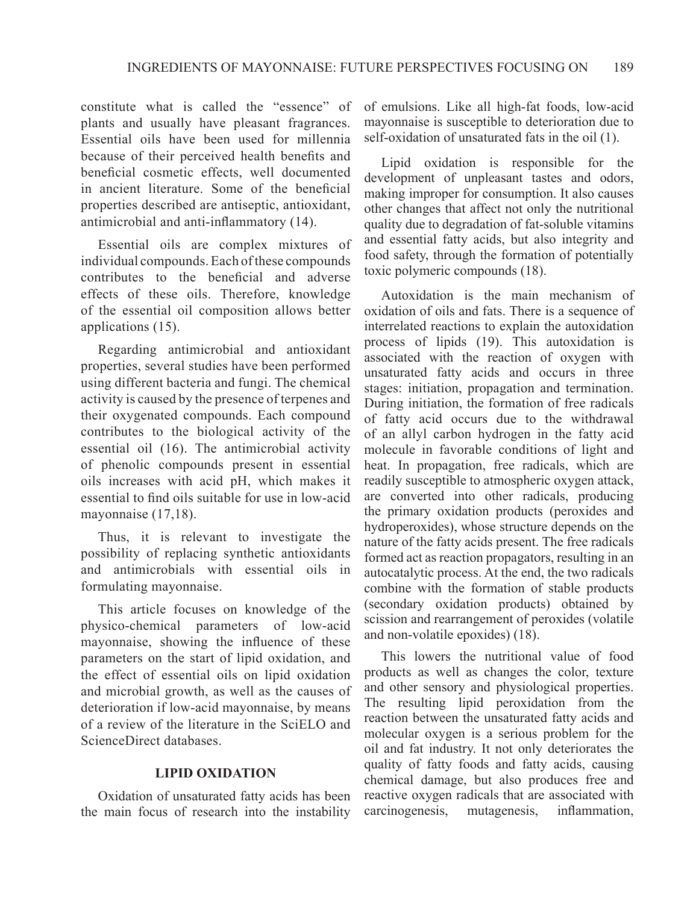constitute what is called the "essence" of plants and usually have pleasant fragrances. Essential oils have been used for millennia because of their perceived health benefits and beneficial cosmetic effects, well documented in ancient literature. Some of the beneficial properties described are antiseptic, antioxidant, antimicrobial and anti-inflammatory (14).

Essential oils are complex mixtures of individual compounds. Each of these compounds contributes to the beneficial and adverse effects of these oils. Therefore, knowledge of the essential oil composition allows better applications (15).

Regarding antimicrobial and antioxidant properties, several studies have been performed using different bacteria and fungi. The chemical activity is caused by the presence of terpenes and their oxygenated compounds. Each compound contributes to the biological activity of the essential oil (16). The antimicrobial activity of phenolic compounds present in essential oils increases with acid pH, which makes it essential to find oils suitable for use in low-acid mayonnaise (17,18).

Thus, it is relevant to investigate the possibility of replacing synthetic antioxidants and antimicrobials with essential oils in formulating mayonnaise.

This article focuses on knowledge of the physico-chemical parameters of low-acid mayonnaise, showing the influence of these parameters on the start of lipid oxidation, and the effect of essential oils on lipid oxidation and microbial growth, as well as the causes of deterioration if low-acid mayonnaise, by means of a review of the literature in the SciELO and ScienceDirect databases.

## **LIPID OXIDATION**

Oxidation of unsaturated fatty acids has been the main focus of research into the instability

of emulsions. Like all high-fat foods, low-acid mayonnaise is susceptible to deterioration due to self-oxidation of unsaturated fats in the oil (1).

Lipid oxidation is responsible for the development of unpleasant tastes and odors, making improper for consumption. It also causes other changes that affect not only the nutritional quality due to degradation of fat-soluble vitamins and essential fatty acids, but also integrity and food safety, through the formation of potentially toxic polymeric compounds (18).

Autoxidation is the main mechanism of oxidation of oils and fats. There is a sequence of interrelated reactions to explain the autoxidation process of lipids (19). This autoxidation is associated with the reaction of oxygen with unsaturated fatty acids and occurs in three stages: initiation, propagation and termination. During initiation, the formation of free radicals of fatty acid occurs due to the withdrawal of an allyl carbon hydrogen in the fatty acid molecule in favorable conditions of light and heat. In propagation, free radicals, which are readily susceptible to atmospheric oxygen attack, are converted into other radicals, producing the primary oxidation products (peroxides and hydroperoxides), whose structure depends on the nature of the fatty acids present. The free radicals formed act as reaction propagators, resulting in an autocatalytic process. At the end, the two radicals combine with the formation of stable products (secondary oxidation products) obtained by scission and rearrangement of peroxides (volatile and non-volatile epoxides) (18).

This lowers the nutritional value of food products as well as changes the color, texture and other sensory and physiological properties. The resulting lipid peroxidation from the reaction between the unsaturated fatty acids and molecular oxygen is a serious problem for the oil and fat industry. It not only deteriorates the quality of fatty foods and fatty acids, causing chemical damage, but also produces free and reactive oxygen radicals that are associated with carcinogenesis, mutagenesis, inflammation,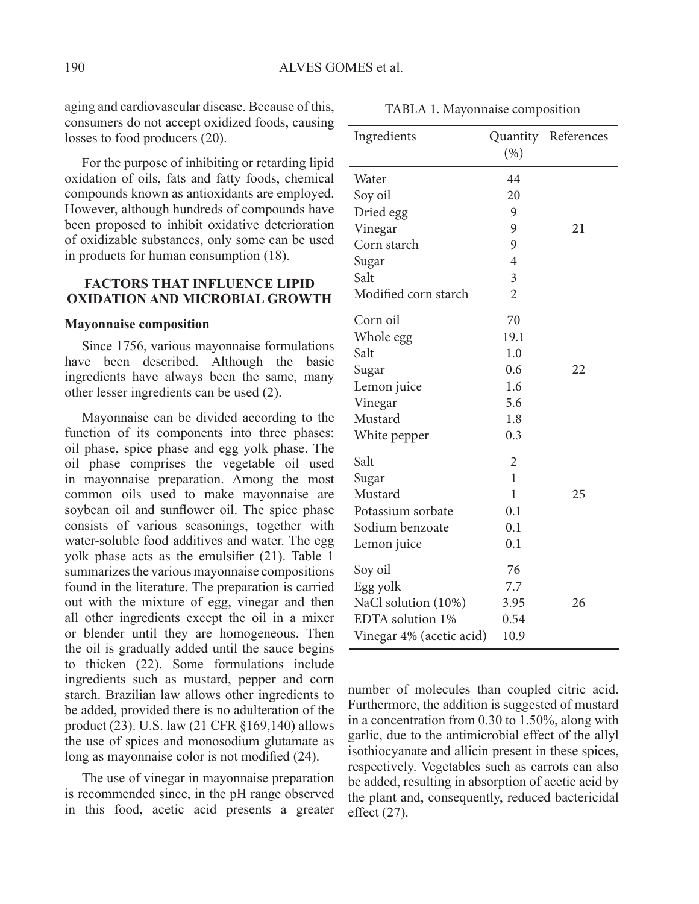aging and cardiovascular disease. Because of this, TABLA 1. Mayonnaise composition consumers do not accept oxidized foods, causing losses to food producers (20).

For the purpose of inhibiting or retarding lipid oxidation of oils, fats and fatty foods, chemical compounds known as antioxidants are employed. However, although hundreds of compounds have been proposed to inhibit oxidative deterioration of oxidizable substances, only some can be used in products for human consumption (18).

## **FACTORS THAT INFLUENCE LIPID OXIDATION AND MICROBIAL GROWTH**

#### **Mayonnaise composition**

Since 1756, various mayonnaise formulations have been described. Although the basic ingredients have always been the same, many other lesser ingredients can be used (2).

Mayonnaise can be divided according to the function of its components into three phases: oil phase, spice phase and egg yolk phase. The oil phase comprises the vegetable oil used in mayonnaise preparation. Among the most common oils used to make mayonnaise are soybean oil and sunflower oil. The spice phase consists of various seasonings, together with water-soluble food additives and water. The egg yolk phase acts as the emulsifier (21). Table 1 summarizes the various mayonnaise compositions found in the literature. The preparation is carried out with the mixture of egg, vinegar and then all other ingredients except the oil in a mixer or blender until they are homogeneous. Then the oil is gradually added until the sauce begins to thicken (22). Some formulations include ingredients such as mustard, pepper and corn starch. Brazilian law allows other ingredients to be added, provided there is no adulteration of the product (23). U.S. law (21 CFR §169,140) allows the use of spices and monosodium glutamate as long as mayonnaise color is not modified (24).

The use of vinegar in mayonnaise preparation is recommended since, in the pH range observed in this food, acetic acid presents a greater

| Ingredients              | (% )           | Quantity References |
|--------------------------|----------------|---------------------|
| Water                    | 44             |                     |
| Soy oil                  | 20             |                     |
| Dried egg                | 9              |                     |
| Vinegar                  | 9              | 21                  |
| Corn starch              | 9              |                     |
| Sugar                    | $\overline{4}$ |                     |
| Salt                     | $\overline{3}$ |                     |
| Modified corn starch     | $\overline{2}$ |                     |
| Corn oil                 | 70             |                     |
| Whole egg                | 19.1           |                     |
| Salt                     | 1.0            |                     |
| Sugar                    | 0.6            | 22                  |
| Lemon juice              | 1.6            |                     |
| Vinegar                  | 5.6            |                     |
| Mustard                  | 1.8            |                     |
| White pepper             | 0.3            |                     |
| Salt                     | $\overline{2}$ |                     |
| Sugar                    | $\mathbf{1}$   |                     |
| Mustard                  | $\mathbf{1}$   | 25                  |
| Potassium sorbate        | 0.1            |                     |
| Sodium benzoate          | 0.1            |                     |
| Lemon juice              | 0.1            |                     |
| Soy oil                  | 76             |                     |
| Egg yolk                 | 7.7            |                     |
| NaCl solution (10%)      | 3.95           | 26                  |
| EDTA solution 1%         | 0.54           |                     |
| Vinegar 4% (acetic acid) | 10.9           |                     |

number of molecules than coupled citric acid. Furthermore, the addition is suggested of mustard in a concentration from 0.30 to 1.50%, along with garlic, due to the antimicrobial effect of the allyl isothiocyanate and allicin present in these spices, respectively. Vegetables such as carrots can also be added, resulting in absorption of acetic acid by the plant and, consequently, reduced bactericidal effect (27).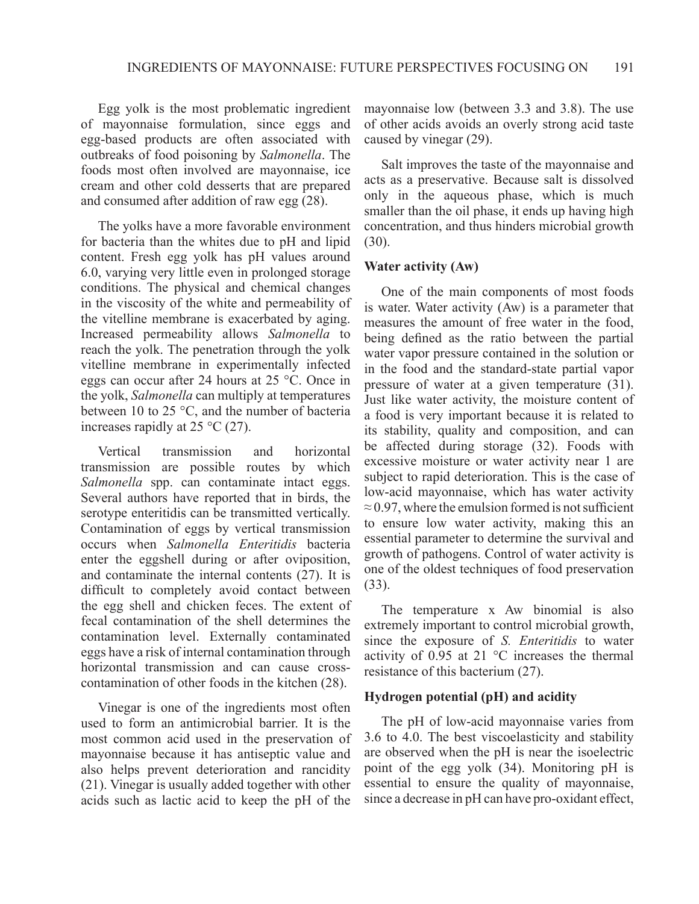Egg yolk is the most problematic ingredient of mayonnaise formulation, since eggs and egg-based products are often associated with outbreaks of food poisoning by *Salmonella*. The foods most often involved are mayonnaise, ice cream and other cold desserts that are prepared and consumed after addition of raw egg (28).

The yolks have a more favorable environment for bacteria than the whites due to pH and lipid content. Fresh egg yolk has pH values around 6.0, varying very little even in prolonged storage conditions. The physical and chemical changes in the viscosity of the white and permeability of the vitelline membrane is exacerbated by aging. Increased permeability allows *Salmonella* to reach the yolk. The penetration through the yolk vitelline membrane in experimentally infected eggs can occur after 24 hours at 25 °C. Once in the yolk, *Salmonella* can multiply at temperatures between 10 to 25 °C, and the number of bacteria increases rapidly at  $25 \degree C$  (27).

Vertical transmission and horizontal transmission are possible routes by which *Salmonella* spp. can contaminate intact eggs. Several authors have reported that in birds, the serotype enteritidis can be transmitted vertically. Contamination of eggs by vertical transmission occurs when *Salmonella Enteritidis* bacteria enter the eggshell during or after oviposition, and contaminate the internal contents (27). It is difficult to completely avoid contact between the egg shell and chicken feces. The extent of fecal contamination of the shell determines the contamination level. Externally contaminated eggs have a risk of internal contamination through horizontal transmission and can cause crosscontamination of other foods in the kitchen (28).

Vinegar is one of the ingredients most often used to form an antimicrobial barrier. It is the most common acid used in the preservation of mayonnaise because it has antiseptic value and also helps prevent deterioration and rancidity (21). Vinegar is usually added together with other acids such as lactic acid to keep the pH of the mayonnaise low (between 3.3 and 3.8). The use of other acids avoids an overly strong acid taste caused by vinegar (29).

Salt improves the taste of the mayonnaise and acts as a preservative. Because salt is dissolved only in the aqueous phase, which is much smaller than the oil phase, it ends up having high concentration, and thus hinders microbial growth (30).

#### **Water activity (Aw)**

One of the main components of most foods is water. Water activity (Aw) is a parameter that measures the amount of free water in the food, being defined as the ratio between the partial water vapor pressure contained in the solution or in the food and the standard-state partial vapor pressure of water at a given temperature (31). Just like water activity, the moisture content of a food is very important because it is related to its stability, quality and composition, and can be affected during storage (32). Foods with excessive moisture or water activity near 1 are subject to rapid deterioration. This is the case of low-acid mayonnaise, which has water activity  $\approx$  0.97, where the emulsion formed is not sufficient to ensure low water activity, making this an essential parameter to determine the survival and growth of pathogens. Control of water activity is one of the oldest techniques of food preservation (33).

The temperature x Aw binomial is also extremely important to control microbial growth, since the exposure of *S. Enteritidis* to water activity of 0.95 at 21 °C increases the thermal resistance of this bacterium (27).

## **Hydrogen potential (pH) and acidity**

The pH of low-acid mayonnaise varies from 3.6 to 4.0. The best viscoelasticity and stability are observed when the pH is near the isoelectric point of the egg yolk (34). Monitoring pH is essential to ensure the quality of mayonnaise, since a decrease in pH can have pro-oxidant effect,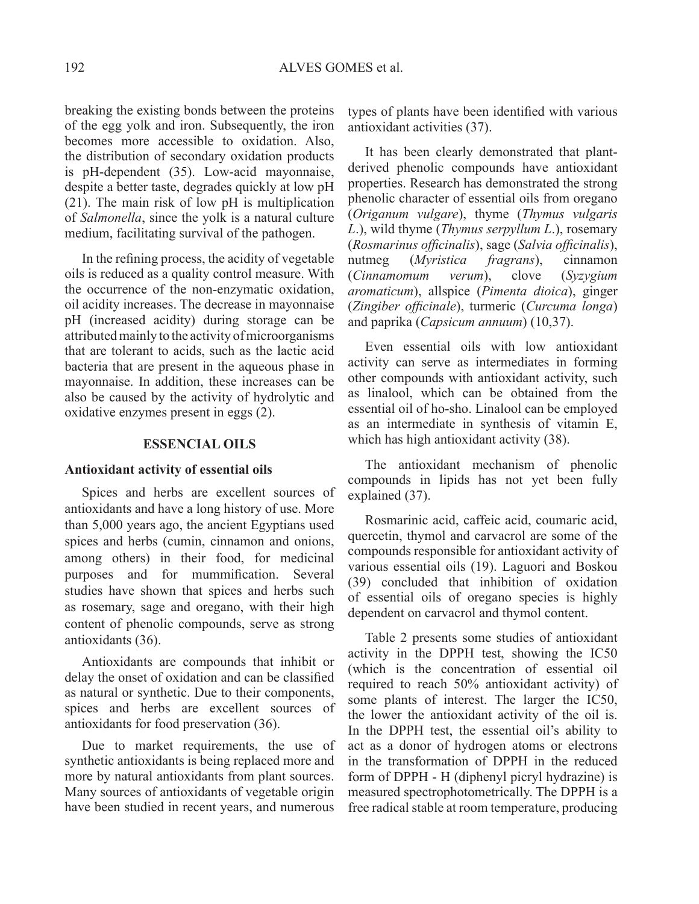breaking the existing bonds between the proteins of the egg yolk and iron. Subsequently, the iron becomes more accessible to oxidation. Also, the distribution of secondary oxidation products is pH-dependent (35). Low-acid mayonnaise, despite a better taste, degrades quickly at low pH (21). The main risk of low pH is multiplication of *Salmonella*, since the yolk is a natural culture medium, facilitating survival of the pathogen.

In the refining process, the acidity of vegetable oils is reduced as a quality control measure. With the occurrence of the non-enzymatic oxidation, oil acidity increases. The decrease in mayonnaise pH (increased acidity) during storage can be attributed mainly to the activity of microorganisms that are tolerant to acids, such as the lactic acid bacteria that are present in the aqueous phase in mayonnaise. In addition, these increases can be also be caused by the activity of hydrolytic and oxidative enzymes present in eggs (2).

#### **ESSENCIAL OILS**

#### **Antioxidant activity of essential oils**

Spices and herbs are excellent sources of antioxidants and have a long history of use. More than 5,000 years ago, the ancient Egyptians used spices and herbs (cumin, cinnamon and onions, among others) in their food, for medicinal purposes and for mummification. Several studies have shown that spices and herbs such as rosemary, sage and oregano, with their high content of phenolic compounds, serve as strong antioxidants (36).

Antioxidants are compounds that inhibit or delay the onset of oxidation and can be classified as natural or synthetic. Due to their components, spices and herbs are excellent sources of antioxidants for food preservation (36).

Due to market requirements, the use of synthetic antioxidants is being replaced more and more by natural antioxidants from plant sources. Many sources of antioxidants of vegetable origin have been studied in recent years, and numerous types of plants have been identified with various antioxidant activities (37).

It has been clearly demonstrated that plantderived phenolic compounds have antioxidant properties. Research has demonstrated the strong phenolic character of essential oils from oregano (*Origanum vulgare*), thyme (*Thymus vulgaris L*.), wild thyme (*Thymus serpyllum L*.), rosemary (*Rosmarinus officinalis*), sage (*Salvia officinalis*), nutmeg (*Myristica fragrans*), cinnamon (*Cinnamomum verum*), clove (*Syzygium aromaticum*), allspice (*Pimenta dioica*), ginger (*Zingiber officinale*), turmeric (*Curcuma longa*) and paprika (*Capsicum annuum*) (10,37).

Even essential oils with low antioxidant activity can serve as intermediates in forming other compounds with antioxidant activity, such as linalool, which can be obtained from the essential oil of ho-sho. Linalool can be employed as an intermediate in synthesis of vitamin E, which has high antioxidant activity (38).

The antioxidant mechanism of phenolic compounds in lipids has not yet been fully explained (37).

Rosmarinic acid, caffeic acid, coumaric acid, quercetin, thymol and carvacrol are some of the compounds responsible for antioxidant activity of various essential oils (19). Laguori and Boskou (39) concluded that inhibition of oxidation of essential oils of oregano species is highly dependent on carvacrol and thymol content.

Table 2 presents some studies of antioxidant activity in the DPPH test, showing the IC50 (which is the concentration of essential oil required to reach 50% antioxidant activity) of some plants of interest. The larger the IC50, the lower the antioxidant activity of the oil is. In the DPPH test, the essential oil's ability to act as a donor of hydrogen atoms or electrons in the transformation of DPPH in the reduced form of DPPH - H (diphenyl picryl hydrazine) is measured spectrophotometrically. The DPPH is a free radical stable at room temperature, producing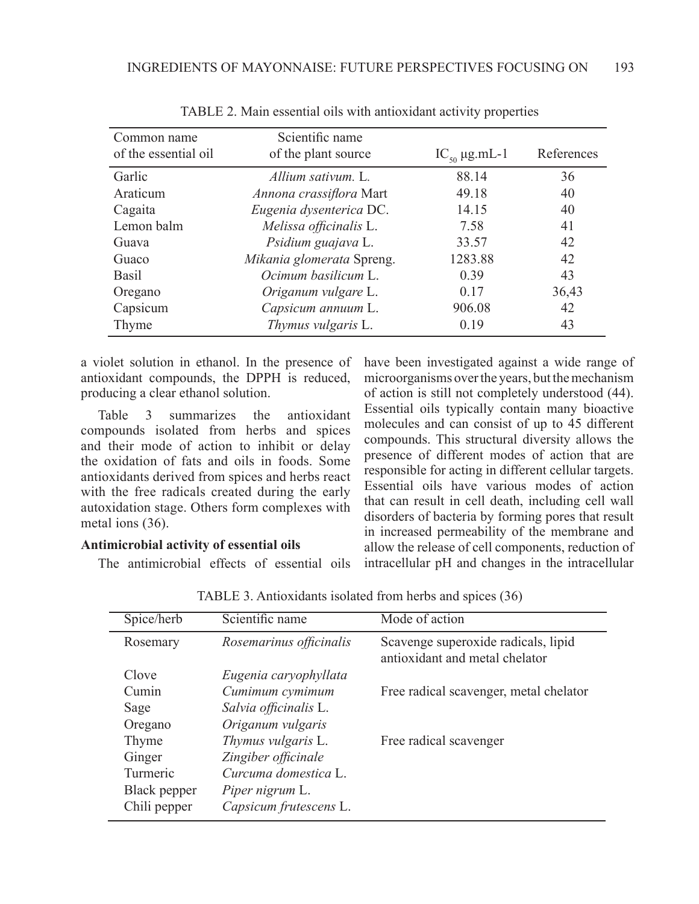| Common name<br>of the essential oil | Scientific name<br>of the plant source | $IC_{50} \mu g.mL-1$ | References |
|-------------------------------------|----------------------------------------|----------------------|------------|
| Garlic                              | Allium sativum. L.                     | 88.14                | 36         |
| Araticum                            | Annona crassiflora Mart                | 49.18                | 40         |
| Cagaita                             | Eugenia dysenterica DC.                | 14.15                | 40         |
| Lemon balm                          | Melissa officinalis L.                 | 7.58                 | 41         |
| Guava                               | Psidium guajava L.                     | 33.57                | 42         |
| Guaco                               | Mikania glomerata Spreng.              | 1283.88              | 42         |
| <b>Basil</b>                        | Ocimum basilicum L.                    | 0.39                 | 43         |
| Oregano                             | Origanum vulgare L.                    | 0.17                 | 36,43      |
| Capsicum                            | Capsicum annuum L.                     | 906.08               | 42         |
| Thyme                               | <i>Thymus vulgaris</i> L.              | 0.19                 | 43         |

Table 2. Main essential oils with antioxidant activity properties

a violet solution in ethanol. In the presence of antioxidant compounds, the DPPH is reduced, producing a clear ethanol solution.

Table 3 summarizes the antioxidant compounds isolated from herbs and spices and their mode of action to inhibit or delay the oxidation of fats and oils in foods. Some antioxidants derived from spices and herbs react with the free radicals created during the early autoxidation stage. Others form complexes with metal ions (36).

## **Antimicrobial activity of essential oils**

The antimicrobial effects of essential oils

have been investigated against a wide range of microorganisms over the years, but the mechanism of action is still not completely understood (44). Essential oils typically contain many bioactive molecules and can consist of up to 45 different compounds. This structural diversity allows the presence of different modes of action that are responsible for acting in different cellular targets. Essential oils have various modes of action that can result in cell death, including cell wall disorders of bacteria by forming pores that result in increased permeability of the membrane and allow the release of cell components, reduction of intracellular pH and changes in the intracellular

| Spice/herb   | Scientific name         | Mode of action                                                        |
|--------------|-------------------------|-----------------------------------------------------------------------|
| Rosemary     | Rosemarinus officinalis | Scavenge superoxide radicals, lipid<br>antioxidant and metal chelator |
| Clove        | Eugenia caryophyllata   |                                                                       |
| Cumin        | Cumimum cymimum         | Free radical scavenger, metal chelator                                |
| Sage         | Salvia officinalis L.   |                                                                       |
| Oregano      | Origanum vulgaris       |                                                                       |
| Thyme        | Thymus vulgaris L.      | Free radical scavenger                                                |
| Ginger       | Zingiber officinale     |                                                                       |
| Turmeric     | Curcuma domestica L.    |                                                                       |
| Black pepper | Piper nigrum L.         |                                                                       |
| Chili pepper | Capsicum frutescens L.  |                                                                       |

Table 3. Antioxidants isolated from herbs and spices (36)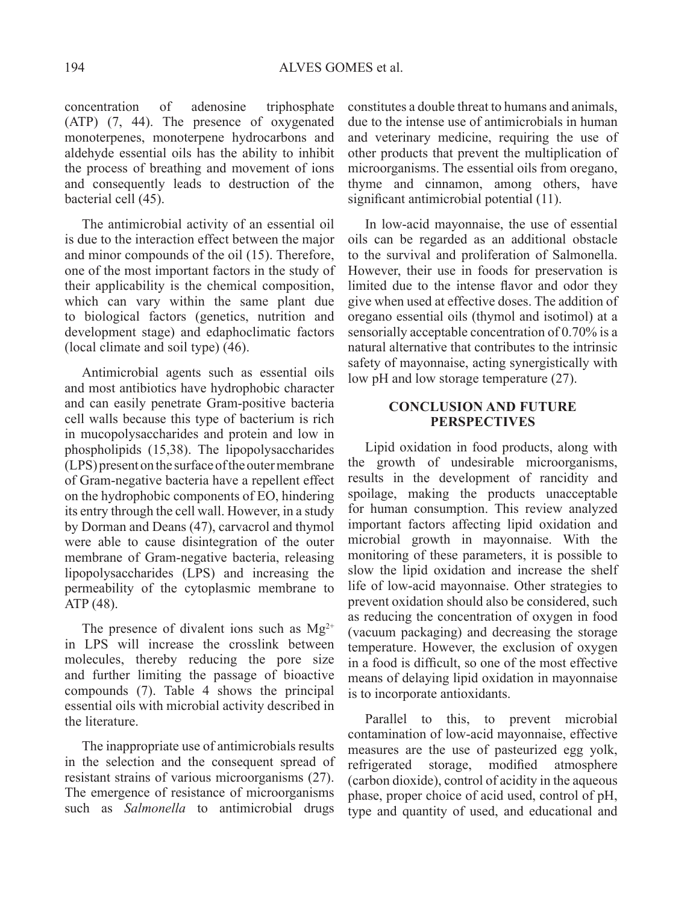concentration of adenosine triphosphate (ATP) (7, 44). The presence of oxygenated monoterpenes, monoterpene hydrocarbons and aldehyde essential oils has the ability to inhibit the process of breathing and movement of ions and consequently leads to destruction of the bacterial cell (45).

The antimicrobial activity of an essential oil is due to the interaction effect between the major and minor compounds of the oil (15). Therefore, one of the most important factors in the study of their applicability is the chemical composition, which can vary within the same plant due to biological factors (genetics, nutrition and development stage) and edaphoclimatic factors (local climate and soil type) (46).

Antimicrobial agents such as essential oils and most antibiotics have hydrophobic character and can easily penetrate Gram-positive bacteria cell walls because this type of bacterium is rich in mucopolysaccharides and protein and low in phospholipids (15,38). The lipopolysaccharides (LPS) present on the surface of the outer membrane of Gram-negative bacteria have a repellent effect on the hydrophobic components of EO, hindering its entry through the cell wall. However, in a study by Dorman and Deans (47), carvacrol and thymol were able to cause disintegration of the outer membrane of Gram-negative bacteria, releasing lipopolysaccharides (LPS) and increasing the permeability of the cytoplasmic membrane to ATP (48).

The presence of divalent ions such as  $Mg^{2+}$ in LPS will increase the crosslink between molecules, thereby reducing the pore size and further limiting the passage of bioactive compounds (7). Table 4 shows the principal essential oils with microbial activity described in the literature.

The inappropriate use of antimicrobials results in the selection and the consequent spread of resistant strains of various microorganisms (27). The emergence of resistance of microorganisms such as *Salmonella* to antimicrobial drugs

constitutes a double threat to humans and animals, due to the intense use of antimicrobials in human and veterinary medicine, requiring the use of other products that prevent the multiplication of microorganisms. The essential oils from oregano, thyme and cinnamon, among others, have significant antimicrobial potential (11).

In low-acid mayonnaise, the use of essential oils can be regarded as an additional obstacle to the survival and proliferation of Salmonella. However, their use in foods for preservation is limited due to the intense flavor and odor they give when used at effective doses. The addition of oregano essential oils (thymol and isotimol) at a sensorially acceptable concentration of 0.70% is a natural alternative that contributes to the intrinsic safety of mayonnaise, acting synergistically with low pH and low storage temperature (27).

## **CONCLUSION AND FUTURE PERSPECTIVES**

Lipid oxidation in food products, along with the growth of undesirable microorganisms, results in the development of rancidity and spoilage, making the products unacceptable for human consumption. This review analyzed important factors affecting lipid oxidation and microbial growth in mayonnaise. With the monitoring of these parameters, it is possible to slow the lipid oxidation and increase the shelf life of low-acid mayonnaise. Other strategies to prevent oxidation should also be considered, such as reducing the concentration of oxygen in food (vacuum packaging) and decreasing the storage temperature. However, the exclusion of oxygen in a food is difficult, so one of the most effective means of delaying lipid oxidation in mayonnaise is to incorporate antioxidants.

Parallel to this, to prevent microbial contamination of low-acid mayonnaise, effective measures are the use of pasteurized egg yolk, refrigerated storage, modified atmosphere (carbon dioxide), control of acidity in the aqueous phase, proper choice of acid used, control of pH, type and quantity of used, and educational and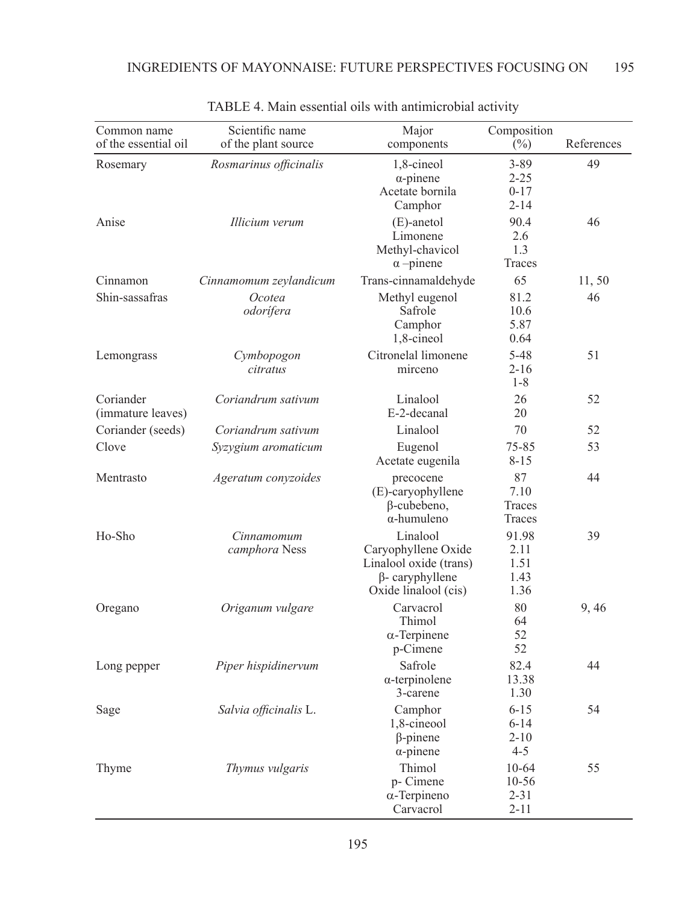| Common name<br>of the essential oil | Scientific name<br>of the plant source | Major<br>components                                                                                         | Composition<br>$(\%)$                        | References |
|-------------------------------------|----------------------------------------|-------------------------------------------------------------------------------------------------------------|----------------------------------------------|------------|
| Rosemary                            | Rosmarinus officinalis                 | 1,8-cineol<br>$\alpha$ -pinene<br>Acetate bornila<br>Camphor                                                | $3 - 89$<br>$2 - 25$<br>$0 - 17$<br>$2 - 14$ | 49         |
| Anise                               | Illicium verum                         | $(E)$ -anetol<br>Limonene<br>Methyl-chavicol<br>$\alpha$ -pinene                                            | 90.4<br>2.6<br>1.3<br>Traces                 | 46         |
| Cinnamon                            | Cinnamomum zeylandicum                 | Trans-cinnamaldehyde                                                                                        | 65                                           | 11,50      |
| Shin-sassafras                      | Ocotea<br>odorífera                    | Methyl eugenol<br>Safrole<br>Camphor<br>1,8-cineol                                                          | 81.2<br>10.6<br>5.87<br>0.64                 | 46         |
| Lemongrass                          | Cymbopogon<br>citratus                 | Citronelal limonene<br>mirceno                                                                              | $5 - 48$<br>$2 - 16$<br>$1 - 8$              | 51         |
| Coriander<br>(immature leaves)      | Coriandrum sativum                     | Linalool<br>E-2-decanal                                                                                     | 26<br>20                                     | 52         |
| Coriander (seeds)                   | Coriandrum sativum                     | Linalool                                                                                                    | 70                                           | 52         |
| Clove                               | Syzygium aromaticum                    | Eugenol<br>Acetate eugenila                                                                                 | 75-85<br>$8 - 15$                            | 53         |
| Mentrasto                           | Ageratum conyzoides                    | precocene<br>(E)-caryophyllene<br>$\beta$ -cubebeno,<br>$\alpha$ -humuleno                                  | 87<br>7.10<br>Traces<br>Traces               | 44         |
| Ho-Sho                              | Cinnamomum<br>camphora Ness            | Linalool<br>Caryophyllene Oxide<br>Linalool oxide (trans)<br>$\beta$ - caryphyllene<br>Oxide linalool (cis) | 91.98<br>2.11<br>1.51<br>1.43<br>1.36        | 39         |
| Oregano                             | Origanum vulgare                       | Carvacrol<br>Thimol<br>$\alpha$ -Terpinene<br>p-Cimene                                                      | 80<br>64<br>52<br>52                         | 9,46       |
| Long pepper                         | Piper hispidinervum                    | Safrole<br>$\alpha$ -terpinolene<br>3-carene                                                                | 82.4<br>13.38<br>1.30                        | 44         |
| Sage                                | Salvia officinalis L.                  | Camphor<br>1,8-cineool<br>$\beta$ -pinene<br>$\alpha$ -pinene                                               | $6 - 15$<br>$6 - 14$<br>$2 - 10$<br>$4 - 5$  | 54         |
| Thyme                               | Thymus vulgaris                        | Thimol<br>p- Cimene<br>$\alpha$ -Terpineno<br>Carvacrol                                                     | 10-64<br>10-56<br>$2 - 31$<br>$2 - 11$       | 55         |

## TABLE 4. Main essential oils with antimicrobial activity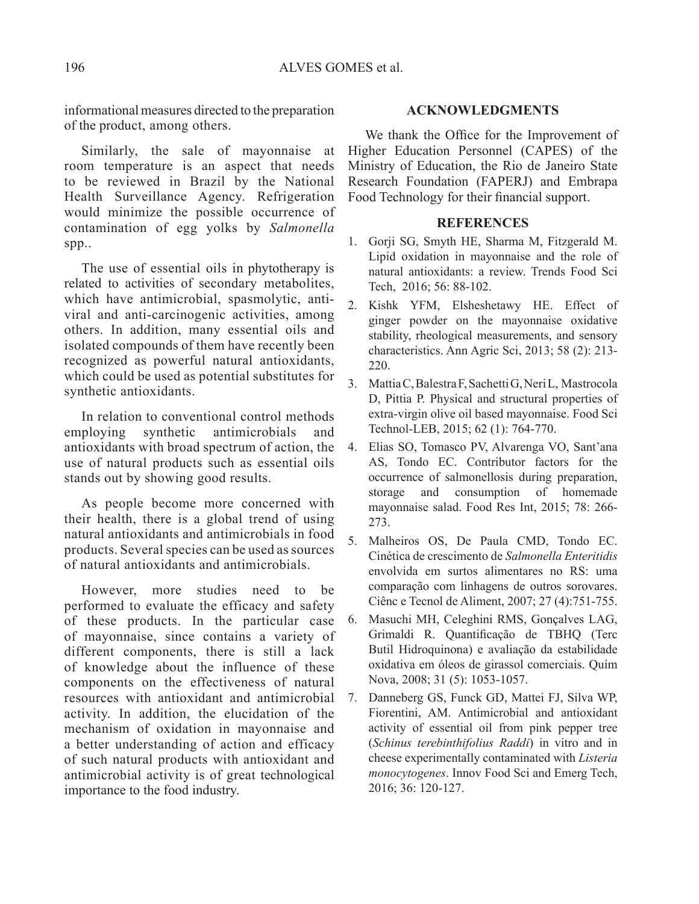informational measures directed to the preparation of the product, among others.

Similarly, the sale of mayonnaise at room temperature is an aspect that needs to be reviewed in Brazil by the National Health Surveillance Agency. Refrigeration would minimize the possible occurrence of contamination of egg yolks by *Salmonella*  spp..

The use of essential oils in phytotherapy is related to activities of secondary metabolites, which have antimicrobial, spasmolytic, antiviral and anti-carcinogenic activities, among others. In addition, many essential oils and isolated compounds of them have recently been recognized as powerful natural antioxidants, which could be used as potential substitutes for synthetic antioxidants.

In relation to conventional control methods employing synthetic antimicrobials and antioxidants with broad spectrum of action, the use of natural products such as essential oils stands out by showing good results.

As people become more concerned with their health, there is a global trend of using natural antioxidants and antimicrobials in food products. Several species can be used as sources of natural antioxidants and antimicrobials.

However, more studies need to be performed to evaluate the efficacy and safety of these products. In the particular case of mayonnaise, since contains a variety of different components, there is still a lack of knowledge about the influence of these components on the effectiveness of natural resources with antioxidant and antimicrobial activity. In addition, the elucidation of the mechanism of oxidation in mayonnaise and a better understanding of action and efficacy of such natural products with antioxidant and antimicrobial activity is of great technological importance to the food industry.

## **Acknowledgments**

We thank the Office for the Improvement of Higher Education Personnel (CAPES) of the Ministry of Education, the Rio de Janeiro State Research Foundation (FAPERJ) and Embrapa Food Technology for their financial support.

### **REFERENCES**

- 1. Gorji SG, Smyth HE, Sharma M, Fitzgerald M. Lipid oxidation in mayonnaise and the role of natural antioxidants: a review. Trends Food Sci Tech, 2016; 56: 88-102.
- 2. Kishk YFM, Elsheshetawy HE. Effect of ginger powder on the mayonnaise oxidative stability, rheological measurements, and sensory characteristics. Ann Agric Sci, 2013; 58 (2): 213- 220.
- 3. Mattia C, Balestra F, Sachetti G, Neri L, Mastrocola D, Pittia P. Physical and structural properties of extra-virgin olive oil based mayonnaise. Food Sci Technol-LEB, 2015; 62 (1): 764-770.
- 4. Elias SO, Tomasco PV, Alvarenga VO, Sant'ana AS, Tondo EC. Contributor factors for the occurrence of salmonellosis during preparation, storage and consumption of homemade mayonnaise salad. Food Res Int, 2015; 78: 266- 273.
- 5. Malheiros OS, De Paula CMD, Tondo EC. Cinética de crescimento de *Salmonella Enteritidis*  envolvida em surtos alimentares no RS: uma comparação com linhagens de outros sorovares. Ciênc e Tecnol de Aliment, 2007; 27 (4):751-755.
- 6. Masuchi MH, Celeghini RMS, Gonçalves LAG, Grimaldi R. Quantificação de TBHQ (Terc Butil Hidroquinona) e avaliação da estabilidade oxidativa em óleos de girassol comerciais. Quím Nova, 2008; 31 (5): 1053-1057.
- 7. Danneberg GS, Funck GD, Mattei FJ, Silva WP, Fiorentini, AM. Antimicrobial and antioxidant activity of essential oil from pink pepper tree (*Schinus terebinthifolius Raddi*) in vitro and in cheese experimentally contaminated with *Listeria monocytogenes*. Innov Food Sci and Emerg Tech, 2016; 36: 120-127.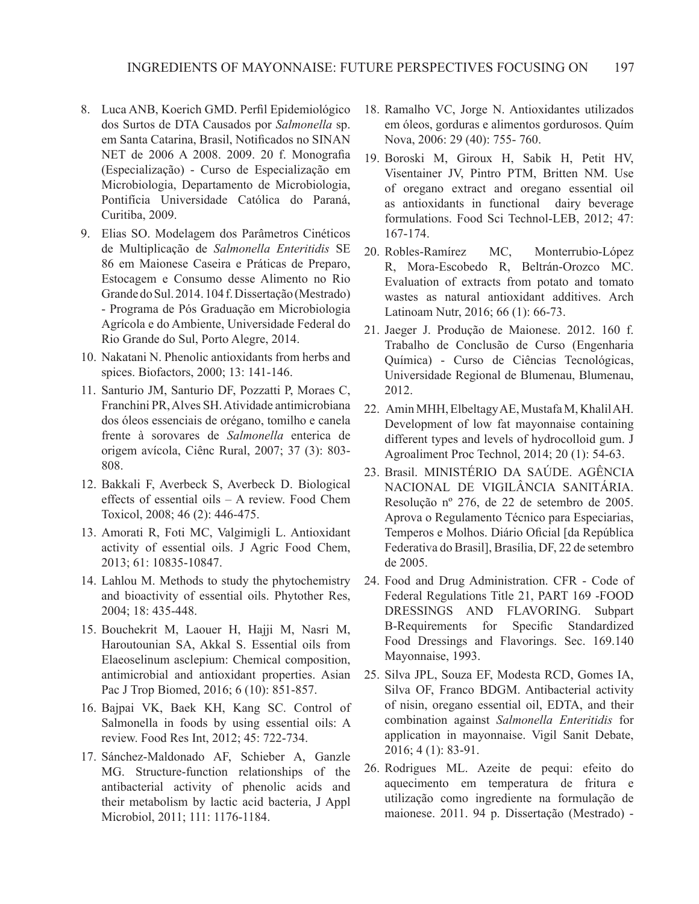- 8. Luca ANB, Koerich GMD. Perfil Epidemiológico dos Surtos de DTA Causados por *Salmonella* sp. em Santa Catarina, Brasil, Notificados no SINAN NET de 2006 A 2008. 2009. 20 f. Monografia (Especialização) - Curso de Especialização em Microbiologia, Departamento de Microbiologia, Pontifícia Universidade Católica do Paraná, Curitiba, 2009.
- 9. Elias SO. Modelagem dos Parâmetros Cinéticos de Multiplicação de *Salmonella Enteritidis* SE 86 em Maionese Caseira e Práticas de Preparo, Estocagem e Consumo desse Alimento no Rio Grande do Sul. 2014. 104 f. Dissertação (Mestrado) - Programa de Pós Graduação em Microbiologia Agrícola e do Ambiente, Universidade Federal do Rio Grande do Sul, Porto Alegre, 2014.
- 10. Nakatani N. Phenolic antioxidants from herbs and spices. Biofactors, 2000; 13: 141-146.
- 11. Santurio JM, Santurio DF, Pozzatti P, Moraes C, Franchini PR, Alves SH. Atividade antimicrobiana dos óleos essenciais de orégano, tomilho e canela frente à sorovares de *Salmonella* enterica de origem avícola, Ciênc Rural, 2007; 37 (3): 803- 808.
- 12. Bakkali F, Averbeck S, Averbeck D. Biological effects of essential oils – A review. Food Chem Toxicol, 2008; 46 (2): 446-475.
- 13. Amorati R, Foti MC, Valgimigli L. Antioxidant activity of essential oils. J Agric Food Chem, 2013; 61: 10835-10847.
- 14. Lahlou M. Methods to study the phytochemistry and bioactivity of essential oils. Phytother Res, 2004; 18: 435-448.
- 15. Bouchekrit M, Laouer H, Hajji M, Nasri M, Haroutounian SA, Akkal S. Essential oils from Elaeoselinum asclepium: Chemical composition, antimicrobial and antioxidant properties. Asian Pac J Trop Biomed, 2016; 6 (10): 851-857.
- 16. Bajpai VK, Baek KH, Kang SC. Control of Salmonella in foods by using essential oils: A review. Food Res Int, 2012; 45: 722-734.
- 17. Sánchez-Maldonado AF, Schieber A, Ganzle MG. Structure-function relationships of the antibacterial activity of phenolic acids and their metabolism by lactic acid bacteria, J Appl Microbiol, 2011; 111: 1176-1184.
- 18. Ramalho VC, Jorge N. Antioxidantes utilizados em óleos, gorduras e alimentos gordurosos. Quím Nova, 2006: 29 (40): 755- 760.
- 19. Boroski M, Giroux H, Sabik H, Petit HV, Visentainer JV, Pintro PTM, Britten NM. Use of oregano extract and oregano essential oil as antioxidants in functional dairy beverage formulations. Food Sci Technol-LEB, 2012; 47: 167-174.
- 20. Robles-Ramírez MC, Monterrubio-López R, Mora-Escobedo R, Beltrán-Orozco MC. Evaluation of extracts from potato and tomato wastes as natural antioxidant additives. Arch Latinoam Nutr, 2016; 66 (1): 66-73.
- 21. Jaeger J. Produção de Maionese. 2012. 160 f. Trabalho de Conclusão de Curso (Engenharia Química) - Curso de Ciências Tecnológicas, Universidade Regional de Blumenau, Blumenau, 2012.
- 22. Amin MHH, Elbeltagy AE, Mustafa M, Khalil AH. Development of low fat mayonnaise containing different types and levels of hydrocolloid gum. J Agroaliment Proc Technol, 2014; 20 (1): 54-63.
- 23. Brasil. MINISTÉRIO DA SAÚDE. AGÊNCIA NACIONAL DE VIGILÂNCIA SANITÁRIA. Resolução nº 276, de 22 de setembro de 2005. Aprova o Regulamento Técnico para Especiarias, Temperos e Molhos. Diário Oficial [da República Federativa do Brasil], Brasília, DF, 22 de setembro de 2005.
- 24. Food and Drug Administration. CFR Code of Federal Regulations Title 21, PART 169 -FOOD DRESSINGS AND FLAVORING. Subpart B-Requirements for Specific Standardized Food Dressings and Flavorings. Sec. 169.140 Mayonnaise, 1993.
- 25. Silva JPL, Souza EF, Modesta RCD, Gomes IA, Silva OF, Franco BDGM. Antibacterial activity of nisin, oregano essential oil, EDTA, and their combination against *Salmonella Enteritidis* for application in mayonnaise. Vigil Sanit Debate, 2016; 4 (1): 83-91.
- 26. Rodrigues ML. Azeite de pequi: efeito do aquecimento em temperatura de fritura e utilização como ingrediente na formulação de maionese. 2011. 94 p. Dissertação (Mestrado) -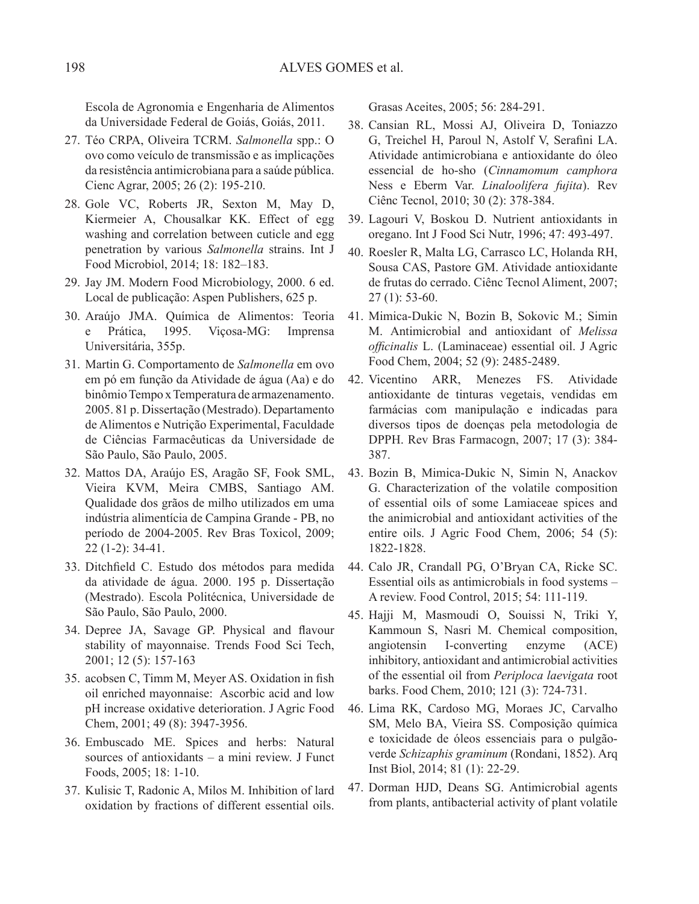Escola de Agronomia e Engenharia de Alimentos da Universidade Federal de Goiás, Goiás, 2011.

- 27. Téo CRPA, Oliveira TCRM. *Salmonella* spp.: O ovo como veículo de transmissão e as implicações da resistência antimicrobiana para a saúde pública. Cienc Agrar, 2005; 26 (2): 195-210.
- 28. Gole VC, Roberts JR, Sexton M, May D, Kiermeier A, Chousalkar KK. Effect of egg washing and correlation between cuticle and egg penetration by various *Salmonella* strains. Int J Food Microbiol, 2014; 18: 182–183.
- 29. Jay JM. Modern Food Microbiology, 2000. 6 ed. Local de publicação: Aspen Publishers, 625 p.
- 30. Araújo JMA. Química de Alimentos: Teoria e Prática, 1995. Viçosa-MG: Imprensa Universitária, 355p.
- 31. Martin G. Comportamento de *Salmonella* em ovo em pó em função da Atividade de água (Aa) e do binômio Tempo x Temperatura de armazenamento. 2005. 81 p. Dissertação (Mestrado). Departamento de Alimentos e Nutrição Experimental, Faculdade de Ciências Farmacêuticas da Universidade de São Paulo, São Paulo, 2005.
- 32. Mattos DA, Araújo ES, Aragão SF, Fook SML, Vieira KVM, Meira CMBS, Santiago AM. Qualidade dos grãos de milho utilizados em uma indústria alimentícia de Campina Grande - PB, no período de 2004-2005. Rev Bras Toxicol, 2009; 22 (1-2): 34-41.
- 33. Ditchfield C. Estudo dos métodos para medida da atividade de água. 2000. 195 p. Dissertação (Mestrado). Escola Politécnica, Universidade de São Paulo, São Paulo, 2000.
- 34. Depree JA, Savage GP. Physical and flavour stability of mayonnaise. Trends Food Sci Tech, 2001; 12 (5): 157-163
- 35. acobsen C, Timm M, Meyer AS. Oxidation in fish oil enriched mayonnaise: Ascorbic acid and low pH increase oxidative deterioration. J Agric Food Chem, 2001; 49 (8): 3947-3956.
- 36. Embuscado ME. Spices and herbs: Natural sources of antioxidants – a mini review. J Funct Foods, 2005; 18: 1-10.
- 37. Kulisic T, Radonic A, Milos M. Inhibition of lard oxidation by fractions of different essential oils.

Grasas Aceites, 2005; 56: 284-291.

- 38. Cansian RL, Mossi AJ, Oliveira D, Toniazzo G, Treichel H, Paroul N, Astolf V, Serafini LA. Atividade antimicrobiana e antioxidante do óleo essencial de ho-sho (*Cinnamomum camphora* Ness e Eberm Var. *Linaloolifera fujita*). Rev Ciênc Tecnol, 2010; 30 (2): 378-384.
- 39. Lagouri V, Boskou D. Nutrient antioxidants in oregano. Int J Food Sci Nutr, 1996; 47: 493-497.
- 40. Roesler R, Malta LG, Carrasco LC, Holanda RH, Sousa CAS, Pastore GM. Atividade antioxidante de frutas do cerrado. Ciênc Tecnol Aliment, 2007; 27 (1): 53-60.
- 41. Mimica-Dukic N, Bozin B, Sokovic M.; Simin M. Antimicrobial and antioxidant of *Melissa officinalis* L. (Laminaceae) essential oil. J Agric Food Chem, 2004; 52 (9): 2485-2489.
- 42. Vicentino ARR, Menezes FS. Atividade antioxidante de tinturas vegetais, vendidas em farmácias com manipulação e indicadas para diversos tipos de doenças pela metodologia de DPPH. Rev Bras Farmacogn, 2007; 17 (3): 384- 387.
- 43. Bozin B, Mimica-Dukic N, Simin N, Anackov G. Characterization of the volatile composition of essential oils of some Lamiaceae spices and the animicrobial and antioxidant activities of the entire oils. J Agric Food Chem, 2006; 54 (5): 1822-1828.
- 44. Calo JR, Crandall PG, O'Bryan CA, Ricke SC. Essential oils as antimicrobials in food systems – A review. Food Control, 2015; 54: 111-119.
- 45. Hajji M, Masmoudi O, Souissi N, Triki Y, Kammoun S, Nasri M. Chemical composition, angiotensin I-converting enzyme (ACE) inhibitory, antioxidant and antimicrobial activities of the essential oil from *Periploca laevigata* root barks. Food Chem, 2010; 121 (3): 724-731.
- 46. Lima RK, Cardoso MG, Moraes JC, Carvalho SM, Melo BA, Vieira SS. Composição química e toxicidade de óleos essenciais para o pulgãoverde *Schizaphis graminum* (Rondani, 1852). Arq Inst Biol, 2014; 81 (1): 22-29.
- 47. Dorman HJD, Deans SG. Antimicrobial agents from plants, antibacterial activity of plant volatile